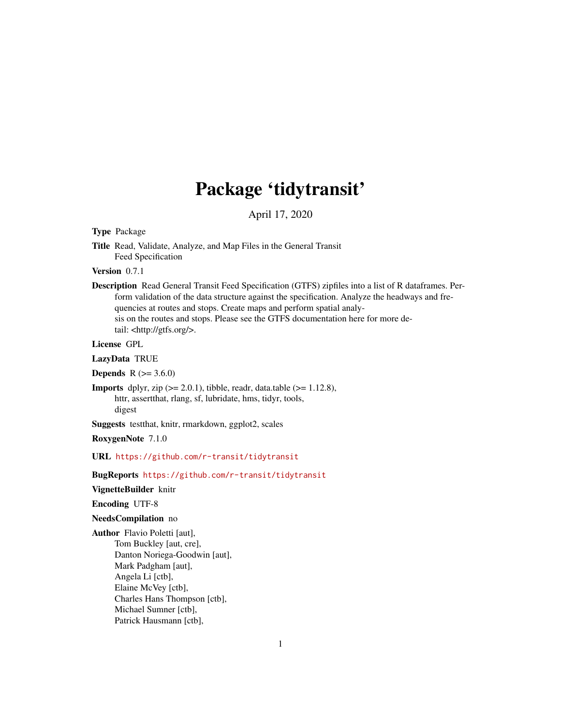# Package 'tidytransit'

April 17, 2020

### <span id="page-0-0"></span>Type Package

Title Read, Validate, Analyze, and Map Files in the General Transit Feed Specification

Version 0.7.1

Description Read General Transit Feed Specification (GTFS) zipfiles into a list of R dataframes. Perform validation of the data structure against the specification. Analyze the headways and frequencies at routes and stops. Create maps and perform spatial analysis on the routes and stops. Please see the GTFS documentation here for more detail: <http://gtfs.org/>.

License GPL

LazyData TRUE

**Depends** R  $(>= 3.6.0)$ 

**Imports** dplyr, zip  $(>= 2.0.1)$ , tibble, readr, data.table  $(>= 1.12.8)$ , httr, assertthat, rlang, sf, lubridate, hms, tidyr, tools, digest

Suggests testthat, knitr, rmarkdown, ggplot2, scales

RoxygenNote 7.1.0

URL <https://github.com/r-transit/tidytransit>

BugReports <https://github.com/r-transit/tidytransit>

VignetteBuilder knitr

Encoding UTF-8

#### NeedsCompilation no

Author Flavio Poletti [aut], Tom Buckley [aut, cre], Danton Noriega-Goodwin [aut], Mark Padgham [aut], Angela Li [ctb], Elaine McVey [ctb], Charles Hans Thompson [ctb], Michael Sumner [ctb], Patrick Hausmann [ctb],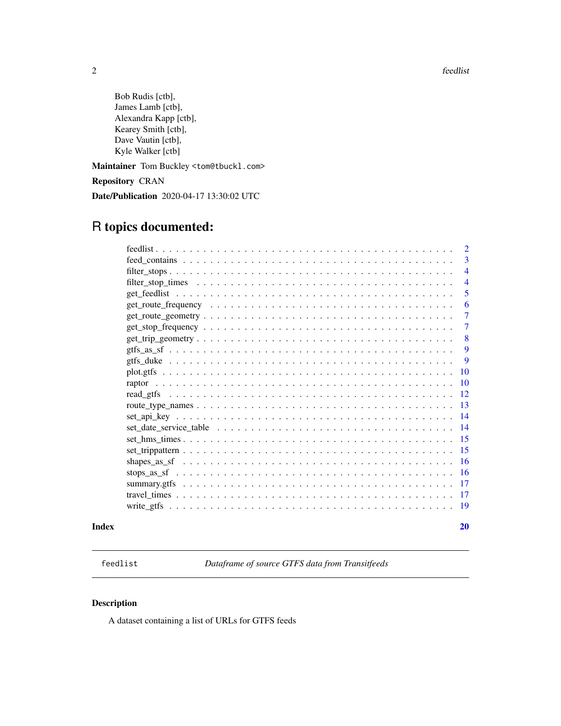<span id="page-1-0"></span>2 feedlist contract to the contract of the contract of the contract of the contract of the contract of the contract of the contract of the contract of the contract of the contract of the contract of the contract of the con

Bob Rudis [ctb], James Lamb [ctb], Alexandra Kapp [ctb], Kearey Smith [ctb], Dave Vautin [ctb], Kyle Walker [ctb]

Maintainer Tom Buckley <tom@tbuckl.com>

Repository CRAN

Date/Publication 2020-04-17 13:30:02 UTC

# R topics documented:

| Index |                                                                                                            | <b>20</b>      |
|-------|------------------------------------------------------------------------------------------------------------|----------------|
|       |                                                                                                            |                |
|       |                                                                                                            |                |
|       |                                                                                                            |                |
|       |                                                                                                            |                |
|       |                                                                                                            |                |
|       |                                                                                                            |                |
|       |                                                                                                            |                |
|       |                                                                                                            |                |
|       |                                                                                                            |                |
|       |                                                                                                            |                |
|       |                                                                                                            |                |
|       |                                                                                                            | 10             |
|       |                                                                                                            | <sup>10</sup>  |
|       |                                                                                                            | 9              |
|       |                                                                                                            | 9              |
|       | $get\_trip\_geometry \ldots \ldots \ldots \ldots \ldots \ldots \ldots \ldots \ldots \ldots \ldots \ldots$  | 8              |
|       | $get\_stop\_frequency \dots \dots \dots \dots \dots \dots \dots \dots \dots \dots \dots \dots \dots \dots$ | $\overline{7}$ |
|       | $get\_route\_geometry \ldots \ldots \ldots \ldots \ldots \ldots \ldots \ldots \ldots \ldots \ldots$        | $\overline{7}$ |
|       |                                                                                                            | 6              |
|       |                                                                                                            | 5              |
|       |                                                                                                            | $\overline{4}$ |
|       |                                                                                                            | $\overline{4}$ |
|       |                                                                                                            | 3              |
|       |                                                                                                            | $\overline{2}$ |

feedlist *Dataframe of source GTFS data from Transitfeeds*

# Description

A dataset containing a list of URLs for GTFS feeds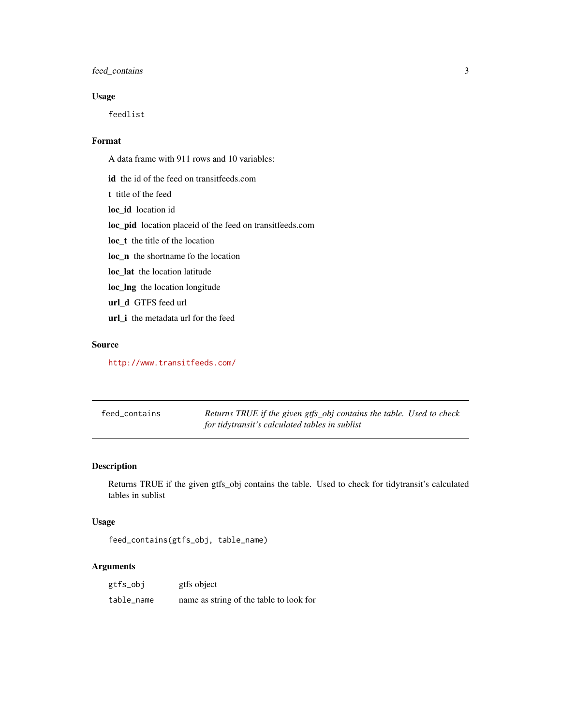# <span id="page-2-0"></span>feed\_contains 3

# Usage

feedlist

# Format

A data frame with 911 rows and 10 variables:

id the id of the feed on transitfeeds.com

t title of the feed

loc\_id location id

loc\_pid location placeid of the feed on transitfeeds.com

loc\_t the title of the location

loc\_n the shortname fo the location

loc\_lat the location latitude

loc\_lng the location longitude

url\_d GTFS feed url

url\_i the metadata url for the feed

# Source

<http://www.transitfeeds.com/>

feed\_contains *Returns TRUE if the given gtfs\_obj contains the table. Used to check for tidytransit's calculated tables in sublist*

# Description

Returns TRUE if the given gtfs\_obj contains the table. Used to check for tidytransit's calculated tables in sublist

#### Usage

```
feed_contains(gtfs_obj, table_name)
```
# Arguments

| gtfs_obj   | gtfs object                             |
|------------|-----------------------------------------|
| table_name | name as string of the table to look for |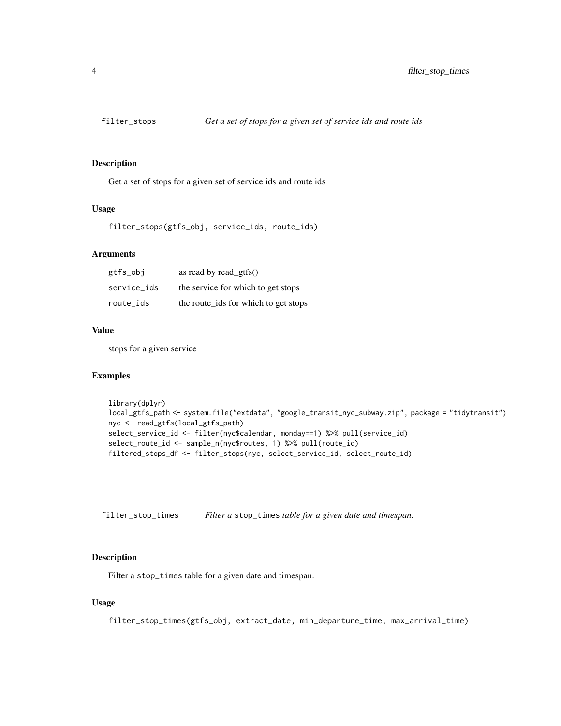<span id="page-3-0"></span>

Get a set of stops for a given set of service ids and route ids

#### Usage

filter\_stops(gtfs\_obj, service\_ids, route\_ids)

#### Arguments

| gtfs_obj    | as read by read_gtfs $()$            |
|-------------|--------------------------------------|
| service ids | the service for which to get stops   |
| route_ids   | the route_ids for which to get stops |

# Value

stops for a given service

#### Examples

```
library(dplyr)
local_gtfs_path <- system.file("extdata", "google_transit_nyc_subway.zip", package = "tidytransit")
nyc <- read_gtfs(local_gtfs_path)
select_service_id <- filter(nyc$calendar, monday==1) %>% pull(service_id)
select_route_id <- sample_n(nyc$routes, 1) %>% pull(route_id)
filtered_stops_df <- filter_stops(nyc, select_service_id, select_route_id)
```
<span id="page-3-1"></span>filter\_stop\_times *Filter a* stop\_times *table for a given date and timespan.*

#### Description

Filter a stop\_times table for a given date and timespan.

#### Usage

filter\_stop\_times(gtfs\_obj, extract\_date, min\_departure\_time, max\_arrival\_time)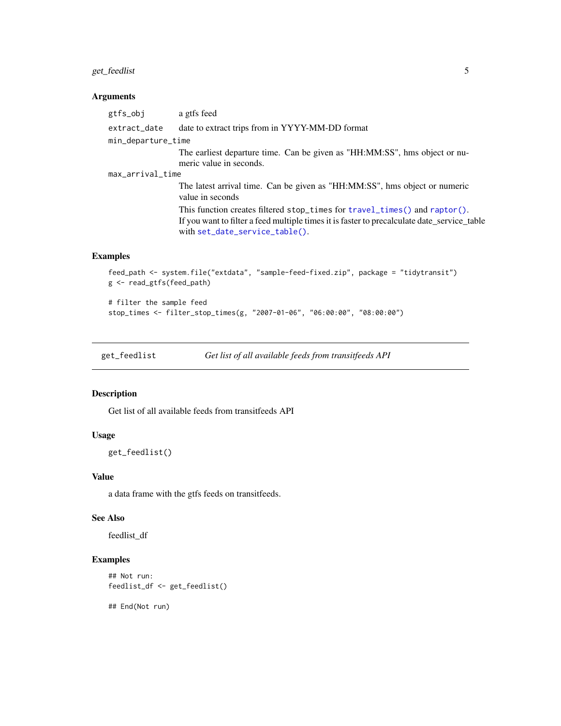# <span id="page-4-0"></span>get\_feedlist 5

#### Arguments

gtfs\_obj a gtfs feed extract\_date date to extract trips from in YYYY-MM-DD format min\_departure\_time The earliest departure time. Can be given as "HH:MM:SS", hms object or numeric value in seconds. max\_arrival\_time The latest arrival time. Can be given as "HH:MM:SS", hms object or numeric value in seconds This function creates filtered stop\_times for [travel\\_times\(\)](#page-16-1) and [raptor\(\)](#page-9-1). If you want to filter a feed multiple times it is faster to precalculate date\_service\_table with [set\\_date\\_service\\_table\(\)](#page-13-1).

# Examples

```
feed_path <- system.file("extdata", "sample-feed-fixed.zip", package = "tidytransit")
g <- read_gtfs(feed_path)
# filter the sample feed
```
stop\_times <- filter\_stop\_times(g, "2007-01-06", "06:00:00", "08:00:00")

get\_feedlist *Get list of all available feeds from transitfeeds API*

#### Description

Get list of all available feeds from transitfeeds API

#### Usage

```
get_feedlist()
```
#### Value

a data frame with the gtfs feeds on transitfeeds.

#### See Also

feedlist\_df

# Examples

```
## Not run:
feedlist_df <- get_feedlist()
```
## End(Not run)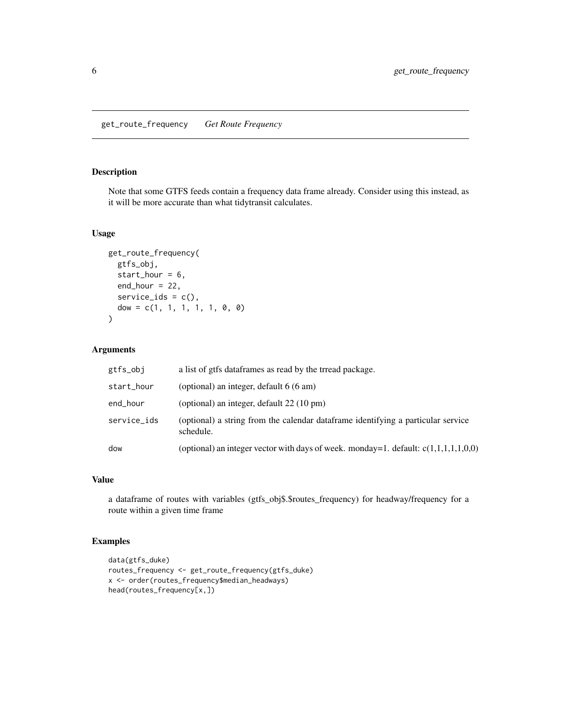<span id="page-5-0"></span>Note that some GTFS feeds contain a frequency data frame already. Consider using this instead, as it will be more accurate than what tidytransit calculates.

# Usage

```
get_route_frequency(
  gtfs_obj,
  start_hour = 6,
  end_hour = 22,
  service_ids = c(),
  dow = c(1, 1, 1, 1, 1, 0, 0)\lambda
```
# Arguments

| gtfs_obj    | a list of gtfs dataframes as read by the trread package.                                      |
|-------------|-----------------------------------------------------------------------------------------------|
| start_hour  | (optional) an integer, default 6 (6 am)                                                       |
| end_hour    | (optional) an integer, default $22(10 \text{ pm})$                                            |
| service_ids | (optional) a string from the calendar dataframe identifying a particular service<br>schedule. |
| dow         | (optional) an integer vector with days of week. monday=1. default: $c(1,1,1,1,1,0,0)$         |

#### Value

a dataframe of routes with variables (gtfs\_obj\$.\$routes\_frequency) for headway/frequency for a route within a given time frame

```
data(gtfs_duke)
routes_frequency <- get_route_frequency(gtfs_duke)
x <- order(routes_frequency$median_headways)
head(routes_frequency[x,])
```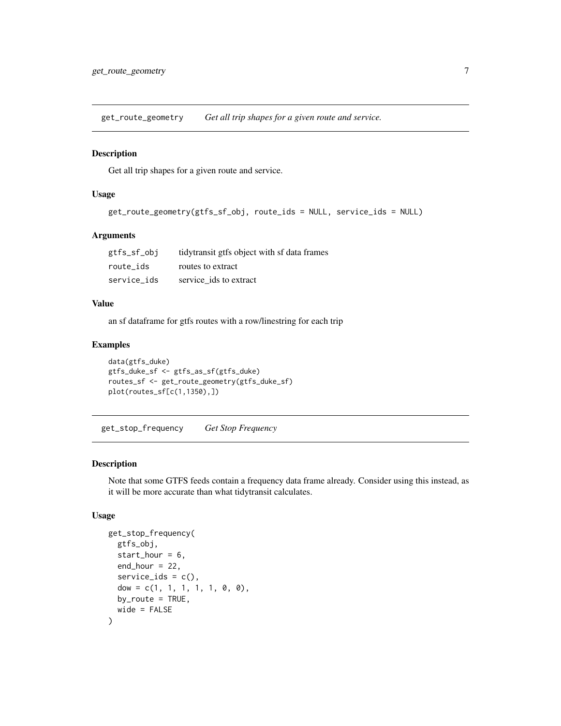<span id="page-6-0"></span>get\_route\_geometry *Get all trip shapes for a given route and service.*

#### Description

Get all trip shapes for a given route and service.

#### Usage

```
get_route_geometry(gtfs_sf_obj, route_ids = NULL, service_ids = NULL)
```
#### Arguments

| gtfs_sf_obj | tidytransit gtfs object with sf data frames |
|-------------|---------------------------------------------|
| route ids   | routes to extract                           |
| service ids | service ids to extract                      |

#### Value

an sf dataframe for gtfs routes with a row/linestring for each trip

### Examples

```
data(gtfs_duke)
gtfs_duke_sf <- gtfs_as_sf(gtfs_duke)
routes_sf <- get_route_geometry(gtfs_duke_sf)
plot(routes_sf[c(1,1350),])
```
get\_stop\_frequency *Get Stop Frequency*

#### Description

Note that some GTFS feeds contain a frequency data frame already. Consider using this instead, as it will be more accurate than what tidytransit calculates.

#### Usage

```
get_stop_frequency(
  gtfs_obj,
  start_hour = 6,
  end_hour = 22,
  service_ids = c(),
  dow = c(1, 1, 1, 1, 1, 0, 0),
 by\_route = TRUE,wide = FALSE
)
```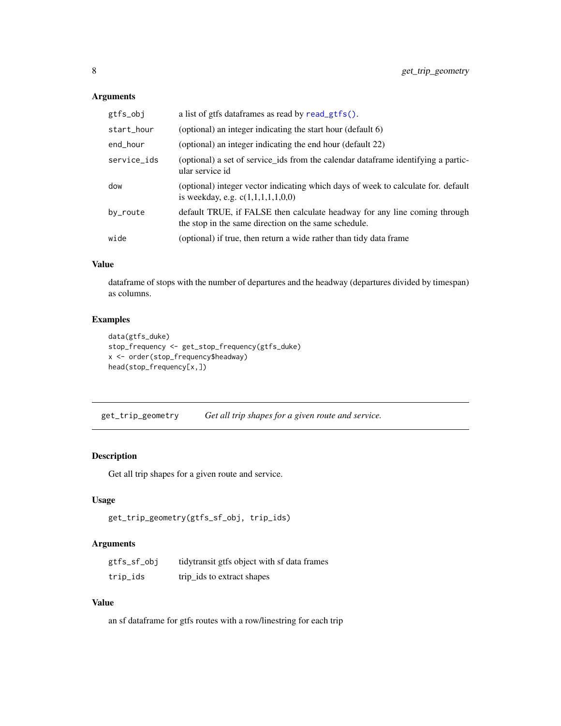# <span id="page-7-0"></span>Arguments

| gtfs_obj    | a list of gtfs dataframes as read by read_gtfs().                                                                                 |
|-------------|-----------------------------------------------------------------------------------------------------------------------------------|
| start_hour  | (optional) an integer indicating the start hour (default 6)                                                                       |
| end_hour    | (optional) an integer indicating the end hour (default 22)                                                                        |
| service_ids | (optional) a set of service ids from the calendar data frame identifying a partic-<br>ular service id                             |
| dow         | (optional) integer vector indicating which days of week to calculate for. default<br>is weekday, e.g. $c(1,1,1,1,1,0,0)$          |
| by_route    | default TRUE, if FALSE then calculate headway for any line coming through<br>the stop in the same direction on the same schedule. |
| wide        | (optional) if true, then return a wide rather than tidy data frame                                                                |
|             |                                                                                                                                   |
|             |                                                                                                                                   |
|             |                                                                                                                                   |

# Value

dataframe of stops with the number of departures and the headway (departures divided by timespan) as columns.

# Examples

```
data(gtfs_duke)
stop_frequency <- get_stop_frequency(gtfs_duke)
x <- order(stop_frequency$headway)
head(stop_frequency[x,])
```
get\_trip\_geometry *Get all trip shapes for a given route and service.*

# Description

Get all trip shapes for a given route and service.

# Usage

```
get_trip_geometry(gtfs_sf_obj, trip_ids)
```
# Arguments

| gtfs_sf_obj | tidytransit gtfs object with sf data frames |
|-------------|---------------------------------------------|
| trip_ids    | trip ids to extract shapes                  |

# Value

an sf dataframe for gtfs routes with a row/linestring for each trip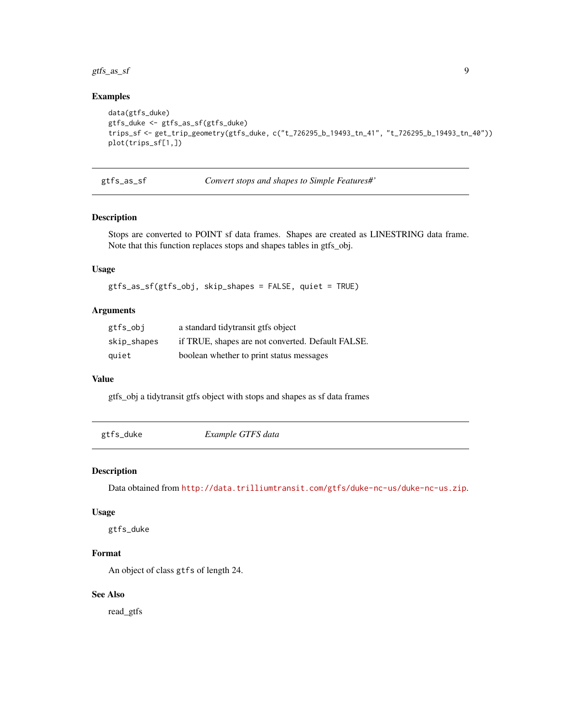<span id="page-8-0"></span>gtfs\_as\_sf 9

# Examples

```
data(gtfs_duke)
gtfs_duke <- gtfs_as_sf(gtfs_duke)
trips_sf <- get_trip_geometry(gtfs_duke, c("t_726295_b_19493_tn_41", "t_726295_b_19493_tn_40"))
plot(trips_sf[1,])
```
gtfs\_as\_sf *Convert stops and shapes to Simple Features#'*

# Description

Stops are converted to POINT sf data frames. Shapes are created as LINESTRING data frame. Note that this function replaces stops and shapes tables in gtfs\_obj.

#### Usage

gtfs\_as\_sf(gtfs\_obj, skip\_shapes = FALSE, quiet = TRUE)

#### Arguments

| gtfs_obj    | a standard tidytransit gtfs object                |
|-------------|---------------------------------------------------|
| skip_shapes | if TRUE, shapes are not converted. Default FALSE. |
| quiet       | boolean whether to print status messages          |

#### Value

gtfs\_obj a tidytransit gtfs object with stops and shapes as sf data frames

gtfs\_duke *Example GTFS data*

#### Description

Data obtained from <http://data.trilliumtransit.com/gtfs/duke-nc-us/duke-nc-us.zip>.

# Usage

gtfs\_duke

# Format

An object of class gtfs of length 24.

### See Also

read\_gtfs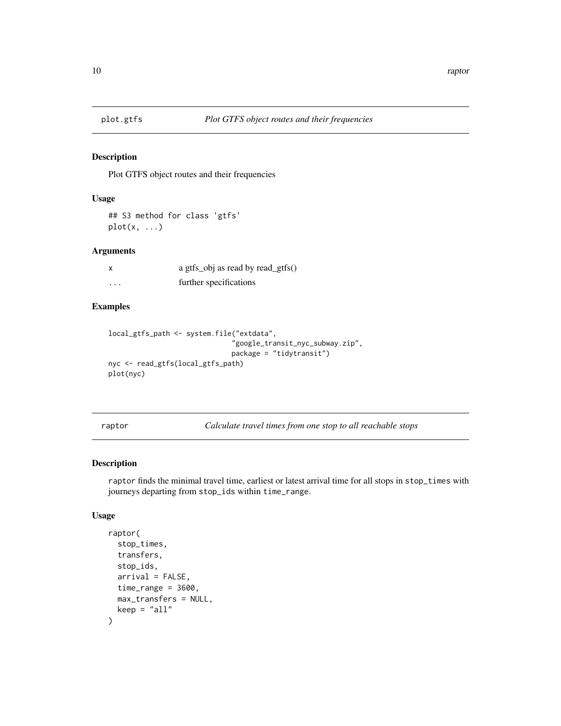<span id="page-9-0"></span>

Plot GTFS object routes and their frequencies

#### Usage

```
## S3 method for class 'gtfs'
plot(x, \ldots)
```
#### Arguments

|   | a gtfs_obj as read by read_gtfs() |
|---|-----------------------------------|
| . | further specifications            |

#### Examples

```
local_gtfs_path <- system.file("extdata",
                              "google_transit_nyc_subway.zip",
                              package = "tidytransit")
nyc <- read_gtfs(local_gtfs_path)
plot(nyc)
```
<span id="page-9-1"></span>raptor *Calculate travel times from one stop to all reachable stops*

# Description

raptor finds the minimal travel time, earliest or latest arrival time for all stops in stop\_times with journeys departing from stop\_ids within time\_range.

### Usage

```
raptor(
  stop_times,
  transfers,
  stop_ids,
  arrival = FALSE,time_range = 3600,max_transfers = NULL,
  keep = "all"\mathcal{E}
```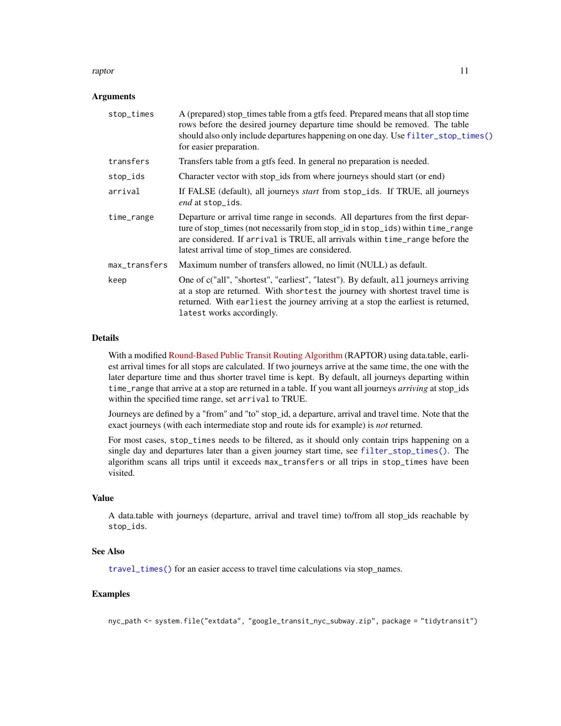#### <span id="page-10-0"></span>raptor that the contract of the contract of the contract of the contract of the contract of the contract of the contract of the contract of the contract of the contract of the contract of the contract of the contract of th

#### **Arguments**

| stop_times    | A (prepared) stop_times table from a gtfs feed. Prepared means that all stop time<br>rows before the desired journey departure time should be removed. The table<br>should also only include departures happening on one day. Use filter_stop_times()<br>for easier preparation.                          |
|---------------|-----------------------------------------------------------------------------------------------------------------------------------------------------------------------------------------------------------------------------------------------------------------------------------------------------------|
| transfers     | Transfers table from a gtfs feed. In general no preparation is needed.                                                                                                                                                                                                                                    |
| stop_ids      | Character vector with stop_ids from where journeys should start (or end)                                                                                                                                                                                                                                  |
| arrival       | If FALSE (default), all journeys <i>start</i> from stop_ids. If TRUE, all journeys<br>end at stop_ids.                                                                                                                                                                                                    |
| time_range    | Departure or arrival time range in seconds. All departures from the first depar-<br>ture of stop_times (not necessarily from stop_id in stop_ids) within time_range<br>are considered. If arrival is TRUE, all arrivals within time_range before the<br>latest arrival time of stop_times are considered. |
| max_transfers | Maximum number of transfers allowed, no limit (NULL) as default.                                                                                                                                                                                                                                          |
| keep          | One of c("all", "shortest", "earliest", "latest"). By default, all journeys arriving<br>at a stop are returned. With shortest the journey with shortest travel time is<br>returned. With earliest the journey arriving at a stop the earliest is returned,<br>latest works accordingly.                   |

# Details

With a modified [Round-Based Public Transit Routing Algorithm](https://www.microsoft.com/en-us/research/publication/round-based-public-transit-routing) (RAPTOR) using data.table, earliest arrival times for all stops are calculated. If two journeys arrive at the same time, the one with the later departure time and thus shorter travel time is kept. By default, all journeys departing within time\_range that arrive at a stop are returned in a table. If you want all journeys *arriving* at stop\_ids within the specified time range, set arrival to TRUE.

Journeys are defined by a "from" and "to" stop\_id, a departure, arrival and travel time. Note that the exact journeys (with each intermediate stop and route ids for example) is *not* returned.

For most cases, stop\_times needs to be filtered, as it should only contain trips happening on a single day and departures later than a given journey start time, see [filter\\_stop\\_times\(\)](#page-3-1). The algorithm scans all trips until it exceeds max\_transfers or all trips in stop\_times have been visited.

#### Value

A data.table with journeys (departure, arrival and travel time) to/from all stop\_ids reachable by stop\_ids.

#### See Also

[travel\\_times\(\)](#page-16-1) for an easier access to travel time calculations via stop\_names.

# Examples

nyc\_path <- system.file("extdata", "google\_transit\_nyc\_subway.zip", package = "tidytransit")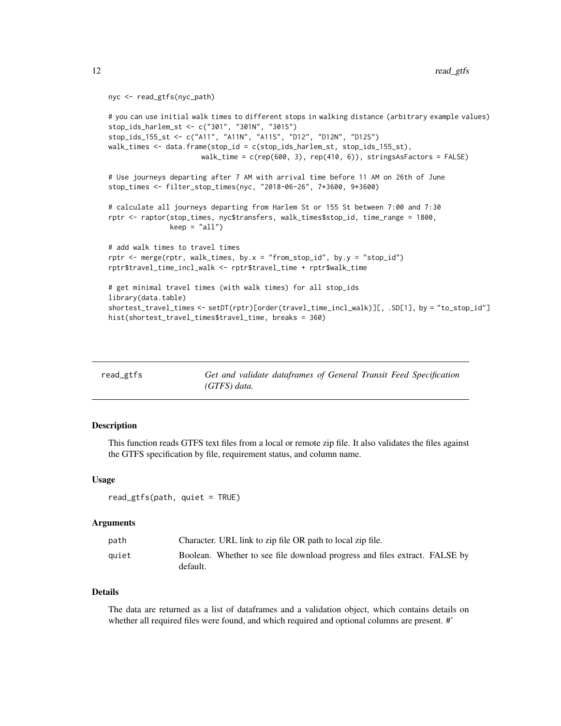```
nyc <- read_gtfs(nyc_path)
```

```
# you can use initial walk times to different stops in walking distance (arbitrary example values)
stop_ids_harlem_st <- c("301", "301N", "301S")
stop_ids_155_st <- c("A11", "A11N", "A11S", "D12", "D12N", "D12S")
walk_times <- data.frame(stop_id = c(stop_ids_harlem_st, stop_ids_155_st),
                      walk_time = c(rep(600, 3), rep(410, 6)), stringsAsFactors = FALSE)
# Use journeys departing after 7 AM with arrival time before 11 AM on 26th of June
stop_times <- filter_stop_times(nyc, "2018-06-26", 7*3600, 9*3600)
# calculate all journeys departing from Harlem St or 155 St between 7:00 and 7:30
rptr <- raptor(stop_times, nyc$transfers, walk_times$stop_id, time_range = 1800,
               keep = "all")# add walk times to travel times
rptr <- merge(rptr, walk_times, by.x = "from_stop_id", by.y = "stop_id")
rptr$travel_time_incl_walk <- rptr$travel_time + rptr$walk_time
# get minimal travel times (with walk times) for all stop_ids
library(data.table)
shortest_travel_times <- setDT(rptr)[order(travel_time_incl_walk)][, .SD[1], by = "to_stop_id"]
hist(shortest_travel_times$travel_time, breaks = 360)
```
<span id="page-11-1"></span>

| read_gtfs | Get and validate dataframes of General Transit Feed Specification |  |  |
|-----------|-------------------------------------------------------------------|--|--|
|           | $(GTFS)$ data.                                                    |  |  |

This function reads GTFS text files from a local or remote zip file. It also validates the files against the GTFS specification by file, requirement status, and column name.

#### Usage

```
read_gtfs(path, quiet = TRUE)
```
#### Arguments

| path  | Character. URL link to zip file OR path to local zip file.                             |
|-------|----------------------------------------------------------------------------------------|
| auiet | Boolean. Whether to see file download progress and files extract. FALSE by<br>default. |

#### Details

The data are returned as a list of dataframes and a validation object, which contains details on whether all required files were found, and which required and optional columns are present. #'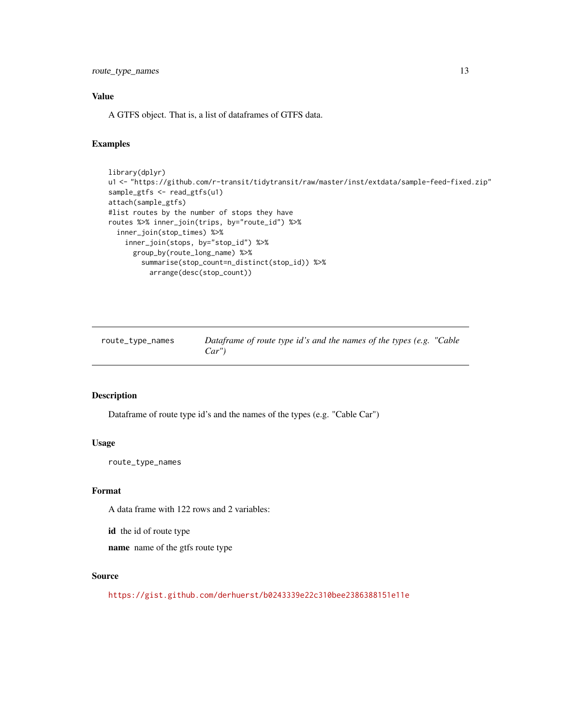<span id="page-12-0"></span>route\_type\_names 13

#### Value

A GTFS object. That is, a list of dataframes of GTFS data.

#### Examples

```
library(dplyr)
u1 <- "https://github.com/r-transit/tidytransit/raw/master/inst/extdata/sample-feed-fixed.zip"
sample_gtfs <- read_gtfs(u1)
attach(sample_gtfs)
#list routes by the number of stops they have
routes %>% inner_join(trips, by="route_id") %>%
  inner_join(stop_times) %>%
    inner_join(stops, by="stop_id") %>%
      group_by(route_long_name) %>%
       summarise(stop_count=n_distinct(stop_id)) %>%
         arrange(desc(stop_count))
```
route\_type\_names *Dataframe of route type id's and the names of the types (e.g. "Cable Car")*

#### Description

Dataframe of route type id's and the names of the types (e.g. "Cable Car")

# Usage

route\_type\_names

#### Format

A data frame with 122 rows and 2 variables:

id the id of route type

name name of the gtfs route type

#### Source

<https://gist.github.com/derhuerst/b0243339e22c310bee2386388151e11e>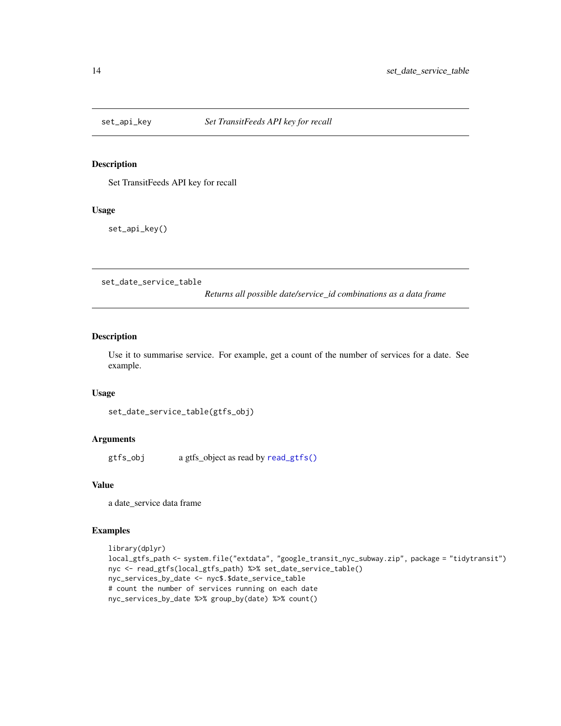<span id="page-13-0"></span>

Set TransitFeeds API key for recall

# Usage

set\_api\_key()

<span id="page-13-1"></span>set\_date\_service\_table

*Returns all possible date/service\_id combinations as a data frame*

#### Description

Use it to summarise service. For example, get a count of the number of services for a date. See example.

# Usage

```
set_date_service_table(gtfs_obj)
```
# Arguments

gtfs\_obj a gtfs\_object as read by [read\\_gtfs\(\)](#page-11-1)

#### Value

a date\_service data frame

```
library(dplyr)
local_gtfs_path <- system.file("extdata", "google_transit_nyc_subway.zip", package = "tidytransit")
nyc <- read_gtfs(local_gtfs_path) %>% set_date_service_table()
nyc_services_by_date <- nyc$.$date_service_table
# count the number of services running on each date
nyc_services_by_date %>% group_by(date) %>% count()
```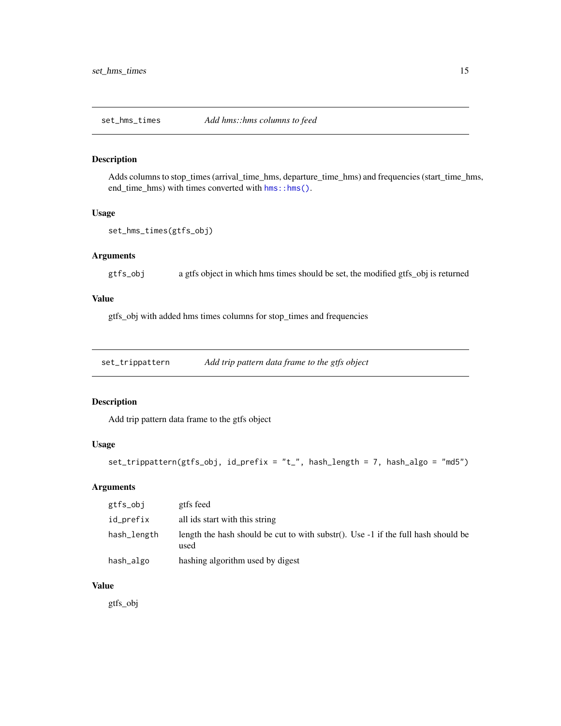<span id="page-14-0"></span>

Adds columns to stop\_times (arrival\_time\_hms, departure\_time\_hms) and frequencies (start\_time\_hms, end\_time\_hms) with times converted with [hms::hms\(\)](#page-0-0).

#### Usage

```
set_hms_times(gtfs_obj)
```
# Arguments

gtfs\_obj a gtfs object in which hms times should be set, the modified gtfs\_obj is returned

# Value

gtfs\_obj with added hms times columns for stop\_times and frequencies

set\_trippattern *Add trip pattern data frame to the gtfs object*

#### Description

Add trip pattern data frame to the gtfs object

#### Usage

```
set_trippattern(gtfs_obj, id_prefix = "t_", hash_length = 7, hash_algo = "md5")
```
# Arguments

| gtfs_obj    | gtfs feed                                                                                   |
|-------------|---------------------------------------------------------------------------------------------|
| id_prefix   | all ids start with this string                                                              |
| hash_length | length the hash should be cut to with substr(). Use $-1$ if the full hash should be<br>used |
| hash_algo   | hashing algorithm used by digest                                                            |

# Value

gtfs\_obj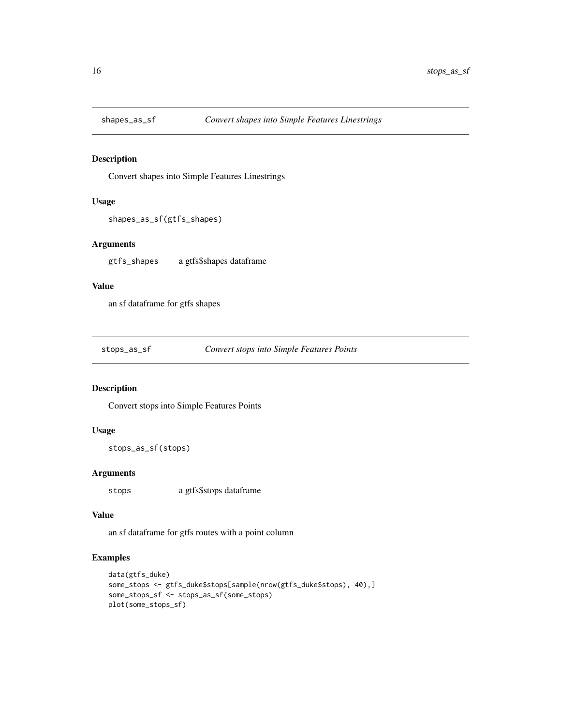<span id="page-15-0"></span>

Convert shapes into Simple Features Linestrings

# Usage

```
shapes_as_sf(gtfs_shapes)
```
### Arguments

gtfs\_shapes a gtfs\$shapes dataframe

#### Value

an sf dataframe for gtfs shapes

stops\_as\_sf *Convert stops into Simple Features Points*

# Description

Convert stops into Simple Features Points

#### Usage

```
stops_as_sf(stops)
```
# Arguments

stops a gtfs\$stops dataframe

#### Value

an sf dataframe for gtfs routes with a point column

```
data(gtfs_duke)
some_stops <- gtfs_duke$stops[sample(nrow(gtfs_duke$stops), 40),]
some_stops_sf <- stops_as_sf(some_stops)
plot(some_stops_sf)
```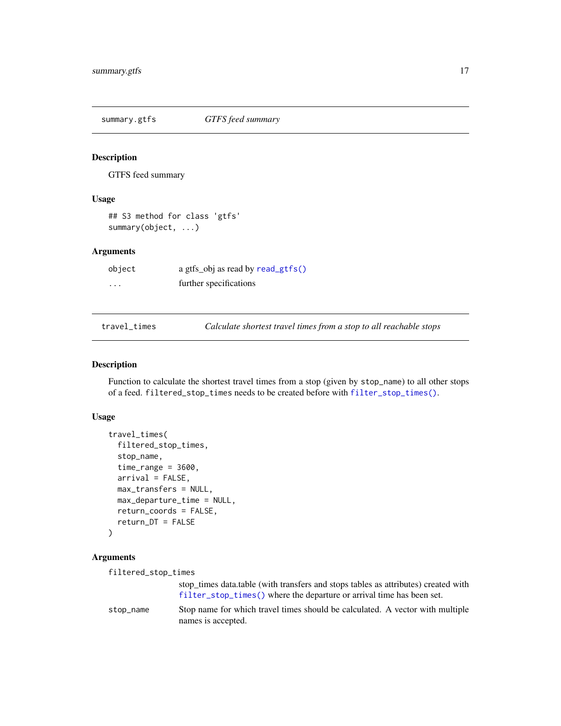<span id="page-16-0"></span>summary.gtfs *GTFS feed summary*

# Description

GTFS feed summary

#### Usage

```
## S3 method for class 'gtfs'
summary(object, ...)
```
#### Arguments

| object   | a gtfs_obj as read by read_gtfs() |
|----------|-----------------------------------|
| $\cdots$ | further specifications            |

<span id="page-16-1"></span>

travel\_times *Calculate shortest travel times from a stop to all reachable stops*

#### Description

Function to calculate the shortest travel times from a stop (given by stop\_name) to all other stops of a feed. filtered\_stop\_times needs to be created before with [filter\\_stop\\_times\(\)](#page-3-1).

#### Usage

```
travel_times(
  filtered_stop_times,
  stop_name,
  time_range = 3600,arrival = FALSE,max_transfers = NULL,
 max_departure_time = NULL,
 return_coords = FALSE,
  return_DT = FALSE
\mathcal{L}
```
#### Arguments

filtered\_stop\_times

stop\_times data.table (with transfers and stops tables as attributes) created with [filter\\_stop\\_times\(\)](#page-3-1) where the departure or arrival time has been set. stop\_name Stop name for which travel times should be calculated. A vector with multiple names is accepted.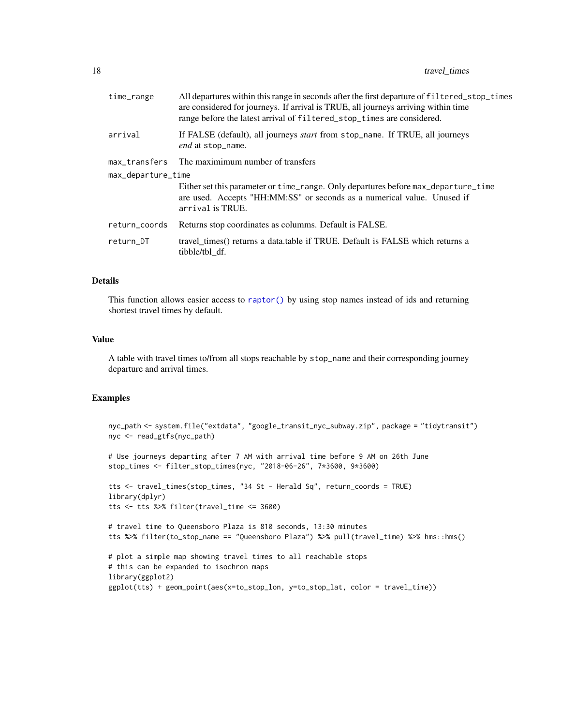<span id="page-17-0"></span>

| time_range         | All departures within this range in seconds after the first departure of filtered_stop_times<br>are considered for journeys. If arrival is TRUE, all journeys arriving within time<br>range before the latest arrival of filtered_stop_times are considered. |  |
|--------------------|--------------------------------------------------------------------------------------------------------------------------------------------------------------------------------------------------------------------------------------------------------------|--|
| arrival            | If FALSE (default), all journeys <i>start</i> from stop_name. If TRUE, all journeys<br>end at stop_name.                                                                                                                                                     |  |
|                    | max_transfers The maximimum number of transfers                                                                                                                                                                                                              |  |
| max_departure_time |                                                                                                                                                                                                                                                              |  |
|                    | Either set this parameter or time_range. Only departures before max_departure_time<br>are used. Accepts "HH:MM:SS" or seconds as a numerical value. Unused if<br>arrival is TRUE.                                                                            |  |
| return_coords      | Returns stop coordinates as columns. Default is FALSE.                                                                                                                                                                                                       |  |
| return_DT          | travel times() returns a data table if TRUE. Default is FALSE which returns a<br>tibble/tbl df.                                                                                                                                                              |  |
|                    |                                                                                                                                                                                                                                                              |  |

#### Details

This function allows easier access to [raptor\(\)](#page-9-1) by using stop names instead of ids and returning shortest travel times by default.

#### Value

A table with travel times to/from all stops reachable by stop\_name and their corresponding journey departure and arrival times.

```
nyc_path <- system.file("extdata", "google_transit_nyc_subway.zip", package = "tidytransit")
nyc <- read_gtfs(nyc_path)
# Use journeys departing after 7 AM with arrival time before 9 AM on 26th June
stop_times <- filter_stop_times(nyc, "2018-06-26", 7*3600, 9*3600)
tts <- travel_times(stop_times, "34 St - Herald Sq", return_coords = TRUE)
library(dplyr)
tts <- tts %>% filter(travel_time <= 3600)
# travel time to Queensboro Plaza is 810 seconds, 13:30 minutes
tts %>% filter(to_stop_name == "Queensboro Plaza") %>% pull(travel_time) %>% hms::hms()
# plot a simple map showing travel times to all reachable stops
# this can be expanded to isochron maps
library(ggplot2)
ggplot(tts) + geom_point(aes(x=to_stop_lon, y=to_stop_lat, color = travel_time))
```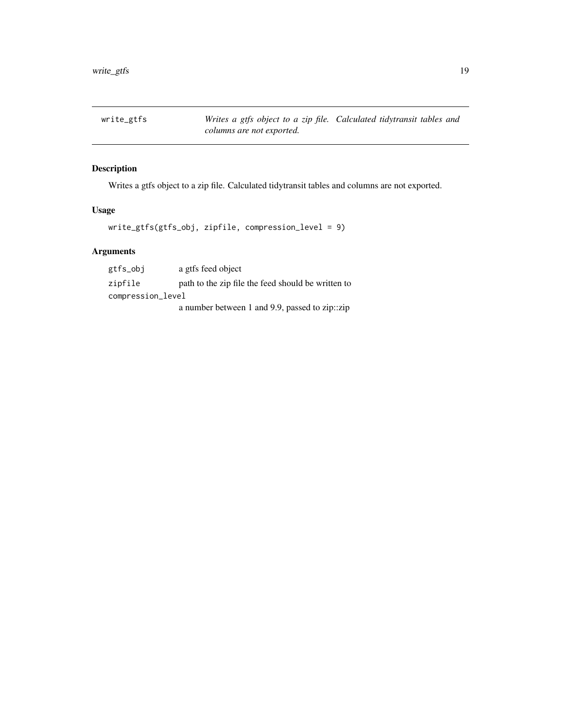<span id="page-18-0"></span>write\_gtfs *Writes a gtfs object to a zip file. Calculated tidytransit tables and columns are not exported.*

# Description

Writes a gtfs object to a zip file. Calculated tidytransit tables and columns are not exported.

# Usage

write\_gtfs(gtfs\_obj, zipfile, compression\_level = 9)

# Arguments

| gtfs_obj          | a gtfs feed object                                 |  |
|-------------------|----------------------------------------------------|--|
| zipfile           | path to the zip file the feed should be written to |  |
| compression_level |                                                    |  |
|                   | a number between 1 and 9.9, passed to zip:: zip    |  |